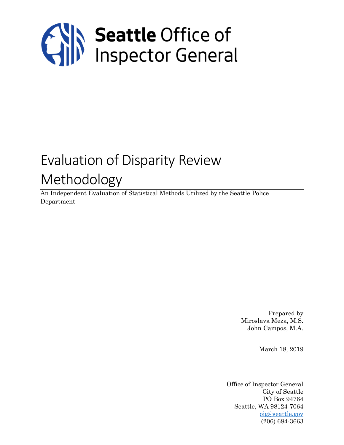

# Evaluation of Disparity Review Methodology

An Independent Evaluation of Statistical Methods Utilized by the Seattle Police Department

> Prepared by Miroslava Meza, M.S. John Campos, M.A.

> > March 18, 2019

Office of Inspector General City of Seattle PO Box 94764 Seattle, WA 98124-7064 [oig@seattle.gov](mailto:oig@seattle.gov) (206) 684-3663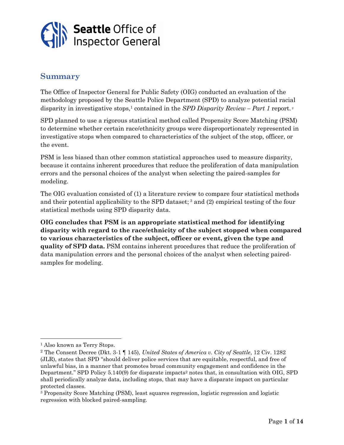

## **Summary**

The Office of Inspector General for Public Safety (OIG) conducted an evaluation of the methodology proposed by the Seattle Police Department (SPD) to analyze potential racial disparity in investigative stops, <sup>1</sup> contained in the *SPD Disparity Review – Part 1* report. 2

SPD planned to use a rigorous statistical method called Propensity Score Matching (PSM) to determine whether certain race/ethnicity groups were disproportionately represented in investigative stops when compared to characteristics of the subject of the stop, officer, or the event.

PSM is less biased than other common statistical approaches used to measure disparity, because it contains inherent procedures that reduce the proliferation of data manipulation errors and the personal choices of the analyst when selecting the paired-samples for modeling.

The OIG evaluation consisted of (1) a literature review to compare four statistical methods and their potential applicability to the SPD dataset; <sup>3</sup> and (2) empirical testing of the four statistical methods using SPD disparity data.

**OIG concludes that PSM is an appropriate statistical method for identifying disparity with regard to the race/ethnicity of the subject stopped when compared to various characteristics of the subject, officer or event, given the type and quality of SPD data.** PSM contains inherent procedures that reduce the proliferation of data manipulation errors and the personal choices of the analyst when selecting pairedsamples for modeling.

<sup>1</sup> Also known as Terry Stops.

<sup>2</sup> The Consent Decree (Dkt. 3-1 ¶ 145), *United States of America v. City of Seattle*, 12 Civ. 1282 (JLR), states that SPD "should deliver police services that are equitable, respectful, and free of unlawful bias, in a manner that promotes broad community engagement and confidence in the Department." SPD Policy 5.140(9) for disparate impacts<sup>2</sup> notes that, in consultation with OIG, SPD shall periodically analyze data, including stops, that may have a disparate impact on particular protected classes.

<sup>3</sup> Propensity Score Matching (PSM), least squares regression, logistic regression and logistic regression with blocked paired-sampling.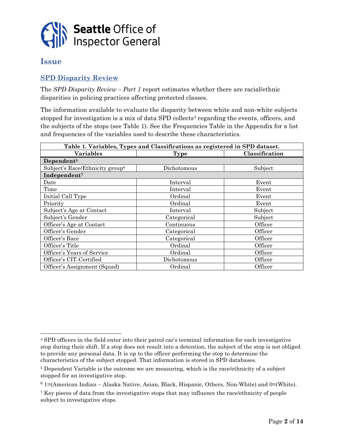

#### **Issue**

#### **SPD Disparity Review**

The *SPD Disparity Review – Part 1* report estimates whether there are racial/ethnic disparities in policing practices affecting protected classes.

The information available to evaluate the disparity between white and non-white subjects stopped for investigation is a mix of data SPD collects<sup>4</sup> regarding the events, officers, and the subjects of the stops (see Table 1). See the Frequencies Table in the Appendix for a list and frequencies of the variables used to describe these characteristics.

| Table 1. Variables, Types and Classifications as registered in SPD dataset. |             |                |  |  |  |  |  |  |
|-----------------------------------------------------------------------------|-------------|----------------|--|--|--|--|--|--|
| <b>Variables</b>                                                            | <b>Type</b> | Classification |  |  |  |  |  |  |
| Dependent <sup>5</sup>                                                      |             |                |  |  |  |  |  |  |
| Subject's Race/Ethnicity group <sup>6</sup>                                 | Dichotomous | Subject        |  |  |  |  |  |  |
| Independent <sup>7</sup>                                                    |             |                |  |  |  |  |  |  |
| Date                                                                        | Interval    | Event          |  |  |  |  |  |  |
| Time                                                                        | Interval    | Event          |  |  |  |  |  |  |
| Initial Call Type                                                           | Ordinal     | Event          |  |  |  |  |  |  |
| Priority                                                                    | Ordinal     | Event          |  |  |  |  |  |  |
| Subject's Age at Contact                                                    | Interval    | Subject        |  |  |  |  |  |  |
| Subject's Gender                                                            | Categorical | Subject        |  |  |  |  |  |  |
| Officer's Age at Contact                                                    | Continuous  | Officer        |  |  |  |  |  |  |
| Officer's Gender                                                            | Categorical | Officer        |  |  |  |  |  |  |
| Officer's Race                                                              | Categorical | Officer        |  |  |  |  |  |  |
| Officer's Title                                                             | Ordinal     | Officer        |  |  |  |  |  |  |
| Officer's Years of Service                                                  | Ordinal     | Officer        |  |  |  |  |  |  |
| Officer's CIT-Certified                                                     | Dichotomous | Officer        |  |  |  |  |  |  |
| Officer's Assignment (Squad)                                                | Ordinal     | Officer        |  |  |  |  |  |  |

<sup>4</sup> SPD officers in the field enter into their patrol car's terminal information for each investigative stop during their shift. If a stop does not result into a detention, the subject of the stop is not obliged to provide any personal data. It is up to the officer performing the stop to determine the characteristics of the subject stopped. That information is stored in SPD databases.

<sup>5</sup> Dependent Variable is the outcome we are measuring, which is the race/ethnicity of a subject stopped for an investigative stop.

 $6$  1=(American Indian – Alaska Native, Asian, Black, Hispanic, Others, Non-White) and 0=(White).

<sup>7</sup> Key pieces of data from the investigative stops that may influence the race/ethnicity of people subject to investigative stops.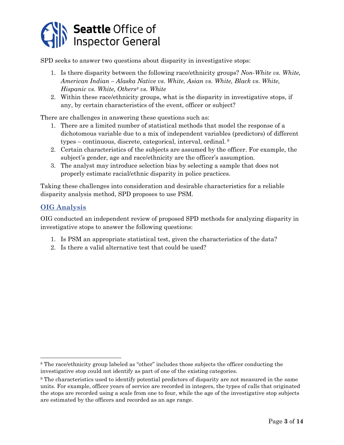

SPD seeks to answer two questions about disparity in investigative stops:

- 1. Is there disparity between the following race/ethnicity groups? *Non-White vs. White, American Indian – Alaska Native vs. White, Asian vs. White, Black vs. White, Hispanic vs. White, Others<sup>8</sup> vs. White*
- 2. Within these race/ethnicity groups, what is the disparity in investigative stops, if any, by certain characteristics of the event, officer or subject?

There are challenges in answering these questions such as:

- 1. There are a limited number of statistical methods that model the response of a dichotomous variable due to a mix of independent variables (predictors) of different types – continuous, discrete, categorical, interval, ordinal. <sup>9</sup>
- 2. Certain characteristics of the subjects are assumed by the officer. For example, the subject's gender, age and race/ethnicity are the officer's assumption.
- 3. The analyst may introduce selection bias by selecting a sample that does not properly estimate racial/ethnic disparity in police practices.

Taking these challenges into consideration and desirable characteristics for a reliable disparity analysis method, SPD proposes to use PSM.

#### **OIG Analysis**

l

OIG conducted an independent review of proposed SPD methods for analyzing disparity in investigative stops to answer the following questions:

- 1. Is PSM an appropriate statistical test, given the characteristics of the data?
- 2. Is there a valid alternative test that could be used?

<sup>8</sup> The race/ethnicity group labeled as "other" includes those subjects the officer conducting the investigative stop could not identify as part of one of the existing categories.

<sup>9</sup> The characteristics used to identify potential predictors of disparity are not measured in the same units. For example, officer years of service are recorded in integers, the types of calls that originated the stops are recorded using a scale from one to four, while the age of the investigative stop subjects are estimated by the officers and recorded as an age range.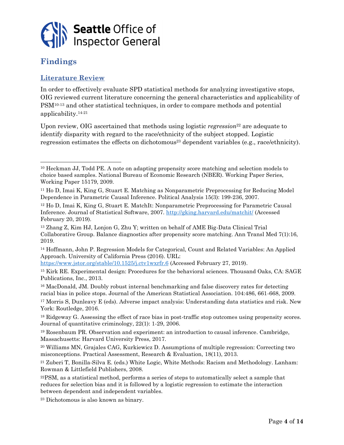

## **Findings**

#### **Literature Review**

In order to effectively evaluate SPD statistical methods for analyzing investigative stops, OIG reviewed current literature concerning the general characteristics and applicability of PSM10-13 and other statistical techniques, in order to compare methods and potential applicability. 14-21

Upon review, OIG ascertained that methods using logistic *regression*<sup>22</sup> are adequate to identify disparity with regard to the race/ethnicity of the subject stopped. Logistic regression estimates the effects on dichotomous<sup>23</sup> dependent variables (e.g., race/ethnicity).

<sup>14</sup> Hoffmann, John P. Regression Models for Categorical, Count and Related Variables: An Applied Approach. University of California Press (2016). URL:

<https://www.jstor.org/stable/10.1525/j.ctv1wxrfr.6> (Accessed February 27, 2019).

<sup>15</sup> Kirk RE. Experimental design: Procedures for the behavioral sciences. Thousand Oaks, CA: SAGE Publications, Inc., 2013.

<sup>16</sup> MacDonald, JM. Doubly robust internal benchmarking and false discovery rates for detecting racial bias in police stops. Journal of the American Statistical Association. 104:486, 661-668, 2009.

<sup>17</sup> Morris S, Dunleavy E (eds). Adverse impact analysis: Understanding data statistics and risk. New York: Routledge, 2016.

<sup>18</sup> Ridgeway G. Assessing the effect of race bias in post-traffic stop outcomes using propensity scores. Journal of quantitative criminology, 22(1): 1-29, 2006.

<sup>19</sup> Rosenbaum PR. Observation and experiment: an introduction to causal inference. Cambridge, Massachusetts: Harvard University Press, 2017.

<sup>20</sup> Williams MN, Grajales CAG, Kurkiewicz D. Assumptions of multiple regression: Correcting two misconceptions. Practical Assessment, Research & Evaluation, 18(11), 2013.

<sup>21</sup> Zuberi T, Bonilla-Silva E. (eds.) White Logic, White Methods: Racism and Methodology. Lanham: Rowman & Littlefield Publishers, 2008.

<sup>22</sup>PSM, as a statistical method, performs a series of steps to automatically select a sample that reduces for selection bias and it is followed by a logistic regression to estimate the interaction between dependent and independent variables.

<sup>23</sup> Dichotomous is also known as binary.

<sup>10</sup> Heckman JJ, Todd PE. A note on adapting propensity score matching and selection models to choice based samples. National Bureau of Economic Research (NBER). Working Paper Series, Working Paper 15179, 2009.

<sup>11</sup> Ho D, Imai K, King G, Stuart E. Matching as Nonparametric Preprocessing for Reducing Model Dependence in Parametric Causal Inference. Political Analysis 15(3): 199-236, 2007.

<sup>12</sup> Ho D, Imai K, King G, Stuart E. MatchIt: Nonparametric Preprocessing for Parametric Causal Inference. Journal of Statistical Software, 2007.<http://gking.harvard.edu/matchit/> (Accessed February 20, 2019).

<sup>13</sup> Zhang Z, Kim HJ, Lonjon G, Zhu Y; written on behalf of AME Big-Data Clinical Trial Collaborative Group. Balance diagnostics after propensity score matching. Ann Transl Med 7(1):16, 2019.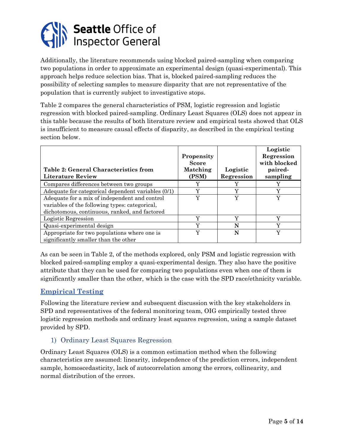

Additionally, the literature recommends using blocked paired-sampling when comparing two populations in order to approximate an experimental design (quasi-experimental). This approach helps reduce selection bias. That is, blocked paired-sampling reduces the possibility of selecting samples to measure disparity that are not representative of the population that is currently subject to investigative stops.

Table 2 compares the general characteristics of PSM, logistic regression and logistic regression with blocked paired-sampling. Ordinary Least Squares (OLS) does not appear in this table because the results of both literature review and empirical tests showed that OLS is insufficient to measure causal effects of disparity, as described in the empirical testing section below.

| <b>Table 2: General Characteristics from</b><br>Literature Review | Propensity<br><b>Score</b><br>Matching<br>(PSM) | Logistic<br>Regression | Logistic<br>Regression<br>with blocked<br>paired-<br>sampling |
|-------------------------------------------------------------------|-------------------------------------------------|------------------------|---------------------------------------------------------------|
| Compares differences between two groups                           |                                                 |                        | v                                                             |
| Adequate for categorical dependent variables (0/1)                | $\boldsymbol{\mathrm{v}}$                       | Y                      | Y                                                             |
| Adequate for a mix of independent and control                     | Y                                               | Y                      | Y                                                             |
| variables of the following types: categorical,                    |                                                 |                        |                                                               |
| dichotomous, continuous, ranked, and factored                     |                                                 |                        |                                                               |
| Logistic Regression                                               | $\boldsymbol{\mathrm{v}}$                       | Y                      | Y                                                             |
| Quasi-experimental design                                         | $\tau$                                          | N                      | $\boldsymbol{\mathrm{v}}$                                     |
| Appropriate for two populations where one is                      | $\overline{\mathbf{v}}$                         | N                      | Y                                                             |
| significantly smaller than the other                              |                                                 |                        |                                                               |

As can be seen in Table 2, of the methods explored, only PSM and logistic regression with blocked paired-sampling employ a quasi-experimental design. They also have the positive attribute that they can be used for comparing two populations even when one of them is significantly smaller than the other, which is the case with the SPD race/ethnicity variable.

#### **Empirical Testing**

Following the literature review and subsequent discussion with the key stakeholders in SPD and representatives of the federal monitoring team, OIG empirically tested three logistic regression methods and ordinary least squares regression, using a sample dataset provided by SPD.

#### 1) Ordinary Least Squares Regression

Ordinary Least Squares (OLS) is a common estimation method when the following characteristics are assumed: linearity, independence of the prediction errors, independent sample, homoscedasticity, lack of autocorrelation among the errors, collinearity, and normal distribution of the errors.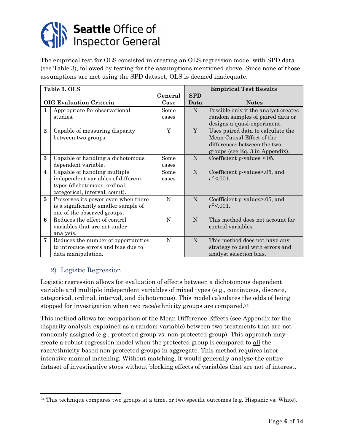

The empirical test for OLS consisted in creating an OLS regression model with SPD data (see Table 3), followed by testing for the assumptions mentioned above. Since none of those assumptions are met using the SPD dataset, OLS is deemed inadequate.

|                         | Table 3. OLS                         |         |             | <b>Empirical Test Results</b>        |
|-------------------------|--------------------------------------|---------|-------------|--------------------------------------|
|                         |                                      | General | <b>SPD</b>  |                                      |
|                         | <b>OIG Evaluation Criteria</b>       | Case    | Data        | <b>Notes</b>                         |
| 1                       | Appropriate for observational        | Some    | $\mathbf N$ | Possible only if the analyst creates |
|                         | studies.                             | cases   |             | random samples of paired data or     |
|                         |                                      |         |             | designs a quasi-experiment.          |
| $\overline{2}$          | Capable of measuring disparity       | Y       | Y           | Uses paired data to calculate the    |
|                         | between two groups.                  |         |             | Mean Causal Effect of the            |
|                         |                                      |         |             | differences between the two          |
|                         |                                      |         |             | groups (see Eq. 3 in Appendix).      |
| 3                       | Capable of handling a dichotomous    | Some    | N           | Coefficient $p$ -values $> 0.05$ .   |
|                         | dependent variable.                  | cases   |             |                                      |
| $\overline{\mathbf{4}}$ | Capable of handling multiple         | Some    | N           | Coefficient p-values>.05, and        |
|                         | independent variables of different   | cases   |             | $r^2 < 0.001$ .                      |
|                         | types (dichotomous, ordinal,         |         |             |                                      |
|                         | categorical, interval, count).       |         |             |                                      |
| 5                       | Preserves its power even when there  | N       | ${\bf N}$   | Coefficient p-values>.05, and        |
|                         | is a significantly smaller sample of |         |             | $r^2$ < 0.01.                        |
|                         | one of the observed groups.          |         |             |                                      |
| 6                       | Reduces the effect of control        | N       | N           | This method does not account for     |
|                         | variables that are not under         |         |             | control variables.                   |
|                         | analysis.                            |         |             |                                      |
| 7                       | Reduces the number of opportunities  | N       | N           | This method does not have any        |
|                         | to introduce errors and bias due to  |         |             | strategy to deal with errors and     |
|                         | data manipulation.                   |         |             | analyst selection bias.              |

#### 2) Logistic Regression

Logistic regression allows for evaluation of effects between a dichotomous dependent variable and multiple independent variables of mixed types (e.g., continuous, discrete, categorical, ordinal, interval, and dichotomous). This model calculates the odds of being stopped for investigation when two race/ethnicity groups are compared.<sup>24</sup>

This method allows for comparison of the Mean Difference Effects (see Appendix for the disparity analysis explained as a random variable) between two treatments that are not randomly assigned (e.g., protected group vs. non-protected group). This approach may create a robust regression model when the protected group is compared to all the race/ethnicity-based non-protected groups in aggregate. This method requires laborintensive manual matching. Without matching, it would generally analyze the entire dataset of investigative stops without blocking effects of variables that are not of interest.

 $24$  This technique compares two groups at a time, or two specific outcomes (e.g. Hispanic vs. White).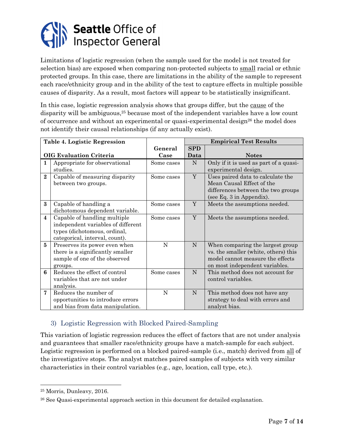

Limitations of logistic regression (when the sample used for the model is not treated for selection bias) are exposed when comparing non-protected subjects to small racial or ethnic protected groups. In this case, there are limitations in the ability of the sample to represent each race/ethnicity group and in the ability of the test to capture effects in multiple possible causes of disparity. As a result, most factors will appear to be statistically insignificant.

In this case, logistic regression analysis shows that groups differ, but the cause of the disparity will be ambiguous,<sup>25</sup> because most of the independent variables have a low count of occurrence and without an experimental or quasi-experimental design<sup>26</sup> the model does not identify their causal relationships (if any actually exist).

|                         | Table 4. Logistic Regression       |            |             | <b>Empirical Test Results</b>          |
|-------------------------|------------------------------------|------------|-------------|----------------------------------------|
|                         |                                    | General    | <b>SPD</b>  |                                        |
|                         | <b>OIG Evaluation Criteria</b>     | Case       | Data        | <b>Notes</b>                           |
| 1                       | Appropriate for observational      | Some cases | ${\bf N}$   | Only if it is used as part of a quasi- |
|                         | studies.                           |            |             | experimental design.                   |
| $\overline{2}$          | Capable of measuring disparity     | Some cases | $\mathbf Y$ | Uses paired data to calculate the      |
|                         | between two groups.                |            |             | Mean Causal Effect of the              |
|                         |                                    |            |             | differences between the two groups     |
|                         |                                    |            |             | (see Eq. 3 in Appendix).               |
| 3                       | Capable of handling a              | Some cases | Y           | Meets the assumptions needed.          |
|                         | dichotomous dependent variable.    |            |             |                                        |
| $\overline{\mathbf{4}}$ | Capable of handling multiple       | Some cases | Y           | Meets the assumptions needed.          |
|                         | independent variables of different |            |             |                                        |
|                         | types (dichotomous, ordinal,       |            |             |                                        |
|                         | categorical, interval, count).     |            |             |                                        |
| 5                       | Preserves its power even when      | N          | N           | When comparing the largest group       |
|                         | there is a significantly smaller   |            |             | vs. the smaller (white, others) this   |
|                         | sample of one of the observed      |            |             | model cannot measure the effects       |
|                         | groups.                            |            |             | on most independent variables.         |
| 6                       | Reduces the effect of control      | Some cases | N           | This method does not account for       |
|                         | variables that are not under       |            |             | control variables.                     |
|                         | analysis.                          |            |             |                                        |
| 7                       | Reduces the number of              | N          | N           | This method does not have any          |
|                         | opportunities to introduce errors  |            |             | strategy to deal with errors and       |
|                         | and bias from data manipulation.   |            |             | analyst bias.                          |

#### 3) Logistic Regression with Blocked Paired-Sampling

This variation of logistic regression reduces the effect of factors that are not under analysis and guarantees that smaller race/ethnicity groups have a match-sample for each subject. Logistic regression is performed on a blocked paired-sample (i.e., match) derived from all of the investigative stops. The analyst matches paired samples of subjects with very similar characteristics in their control variables (e.g., age, location, call type, etc.).

l

<sup>25</sup> Morris, Dunleavy, 2016.

<sup>26</sup> See Quasi-experimental approach section in this document for detailed explanation.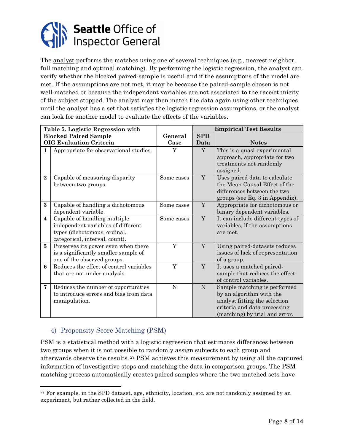

The analyst performs the matches using one of several techniques (e.g., nearest neighbor, full matching and optimal matching). By performing the logistic regression, the analyst can verify whether the blocked paired-sample is useful and if the assumptions of the model are met. If the assumptions are not met, it may be because the paired-sample chosen is not well-matched or because the independent variables are not associated to the race/ethnicity of the subject stopped. The analyst may then match the data again using other techniques until the analyst has a set that satisfies the logistic regression assumptions, or the analyst can look for another model to evaluate the effects of the variables.

|                         | Table 5. Logistic Regression with                                                                                                    |             | <b>Empirical Test Results</b> |                                                                                                                                                             |  |  |
|-------------------------|--------------------------------------------------------------------------------------------------------------------------------------|-------------|-------------------------------|-------------------------------------------------------------------------------------------------------------------------------------------------------------|--|--|
|                         | <b>Blocked Paired Sample</b>                                                                                                         | General     | <b>SPD</b>                    |                                                                                                                                                             |  |  |
|                         | <b>OIG Evaluation Criteria</b>                                                                                                       | Case        | Data                          | <b>Notes</b>                                                                                                                                                |  |  |
| 1                       | Appropriate for observational studies.                                                                                               | Y           | Y                             | This is a quasi-experimental<br>approach, appropriate for two<br>treatments not randomly<br>assigned.                                                       |  |  |
| $\mathbf{2}$            | Capable of measuring disparity<br>between two groups.                                                                                | Some cases  | Y                             | Uses paired data to calculate<br>the Mean Causal Effect of the<br>differences between the two<br>groups (see Eq. 3 in Appendix).                            |  |  |
| 3                       | Capable of handling a dichotomous<br>dependent variable.                                                                             | Some cases  | Y                             | Appropriate for dichotomous or<br>binary dependent variables.                                                                                               |  |  |
| $\overline{\mathbf{4}}$ | Capable of handling multiple<br>independent variables of different<br>types (dichotomous, ordinal,<br>categorical, interval, count). | Some cases  | Y                             | It can include different types of<br>variables, if the assumptions<br>are met.                                                                              |  |  |
| 5                       | Preserves its power even when there<br>is a significantly smaller sample of<br>one of the observed groups.                           | Y           | Y                             | Using paired-datasets reduces<br>issues of lack of representation<br>of a group.                                                                            |  |  |
| 6                       | Reduces the effect of control variables<br>that are not under analysis.                                                              | Y           | Y                             | It uses a matched paired-<br>sample that reduces the effect<br>of control variables.                                                                        |  |  |
| 7                       | Reduces the number of opportunities<br>to introduce errors and bias from data<br>manipulation.                                       | $\mathbf N$ | N                             | Sample matching is performed<br>by an algorithm with the<br>analyst fitting the selection<br>criteria and data processing<br>(matching) by trial and error. |  |  |

#### 4) Propensity Score Matching (PSM)

l

PSM is a statistical method with a logistic regression that estimates differences between two groups when it is not possible to randomly assign subjects to each group and afterwards observe the results.<sup>27</sup> PSM achieves this measurement by using all the captured information of investigative stops and matching the data in comparison groups. The PSM matching process automatically creates paired samples where the two matched sets have

<sup>&</sup>lt;sup>27</sup> For example, in the SPD dataset, age, ethnicity, location, etc. are not randomly assigned by an experiment, but rather collected in the field.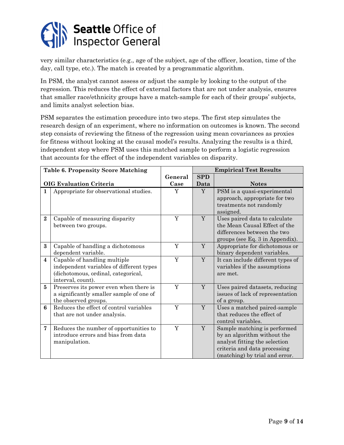

very similar characteristics (e.g., age of the subject, age of the officer, location, time of the day, call type, etc.). The match is created by a programmatic algorithm.

In PSM, the analyst cannot assess or adjust the sample by looking to the output of the regression. This reduces the effect of external factors that are not under analysis, ensures that smaller race/ethnicity groups have a match-sample for each of their groups' subjects, and limits analyst selection bias.

PSM separates the estimation procedure into two steps. The first step simulates the research design of an experiment, where no information on outcomes is known. The second step consists of reviewing the fitness of the regression using mean covariances as proxies for fitness without looking at the causal model's results. Analyzing the results is a third, independent step where PSM uses this matched sample to perform a logistic regression that accounts for the effect of the independent variables on disparity.

|                         | <b>Table 6. Propensity Score Matching</b>                                                                                            |         |            | <b>Empirical Test Results</b>                                                                                                                                  |
|-------------------------|--------------------------------------------------------------------------------------------------------------------------------------|---------|------------|----------------------------------------------------------------------------------------------------------------------------------------------------------------|
|                         |                                                                                                                                      | General | <b>SPD</b> |                                                                                                                                                                |
|                         | <b>OIG Evaluation Criteria</b>                                                                                                       | Case    | Data       | <b>Notes</b>                                                                                                                                                   |
| 1                       | Appropriate for observational studies.                                                                                               | Y       | Y          | PSM is a quasi-experimental<br>approach, appropriate for two<br>treatments not randomly<br>assigned.                                                           |
| $\mathbf{2}$            | Capable of measuring disparity<br>between two groups.                                                                                | Y       | Y          | Uses paired data to calculate<br>the Mean Causal Effect of the<br>differences between the two<br>groups (see Eq. 3 in Appendix).                               |
| $\bf{3}$                | Capable of handling a dichotomous<br>dependent variable.                                                                             | Y       | Y          | Appropriate for dichotomous or<br>binary dependent variables.                                                                                                  |
| $\overline{\mathbf{4}}$ | Capable of handling multiple<br>independent variables of different types<br>(dichotomous, ordinal, categorical,<br>interval, count). | Y       | Y          | It can include different types of<br>variables if the assumptions<br>are met.                                                                                  |
| $\overline{5}$          | Preserves its power even when there is<br>a significantly smaller sample of one of<br>the observed groups.                           | Y       | Y          | Uses paired datasets, reducing<br>issues of lack of representation<br>of a group.                                                                              |
| 6                       | Reduces the effect of control variables<br>that are not under analysis.                                                              | Y       | Y          | Uses a matched paired-sample<br>that reduces the effect of<br>control variables.                                                                               |
| $\overline{7}$          | Reduces the number of opportunities to<br>introduce errors and bias from data<br>manipulation.                                       | Y       | Y          | Sample matching is performed<br>by an algorithm without the<br>analyst fitting the selection<br>criteria and data processing<br>(matching) by trial and error. |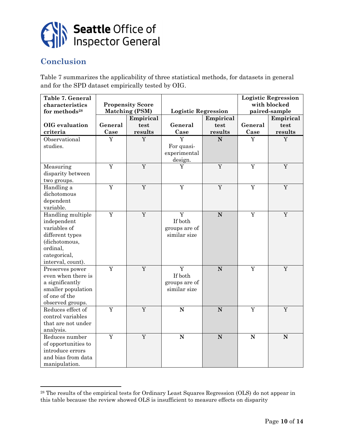

## **Conclusion**

l

Table 7 summarizes the applicability of three statistical methods, for datasets in general and for the SPD dataset empirically tested by OIG.

| Table 7. General<br>characteristics<br>for methods <sup>28</sup> |         | <b>Propensity Score</b><br><b>Matching (PSM)</b> | <b>Logistic Regression</b> |           | <b>Logistic Regression</b><br>with blocked<br>paired-sample |             |  |
|------------------------------------------------------------------|---------|--------------------------------------------------|----------------------------|-----------|-------------------------------------------------------------|-------------|--|
|                                                                  |         | Empirical                                        |                            | Empirical |                                                             | Empirical   |  |
| OIG evaluation                                                   | General | test                                             | General                    | test      | General                                                     | test        |  |
| criteria                                                         | Case    | results                                          | Case                       | results   | Case                                                        | results     |  |
| Observational                                                    | Y       | Y                                                | $\overline{Y}$             | ${\bf N}$ | Y                                                           | Y           |  |
| studies.                                                         |         |                                                  | For quasi-                 |           |                                                             |             |  |
|                                                                  |         |                                                  | experimental               |           |                                                             |             |  |
|                                                                  |         |                                                  | design.                    |           |                                                             |             |  |
| Measuring                                                        | Y       | $\mathbf Y$                                      | Y                          | Y         | $\mathbf Y$                                                 | Y           |  |
| disparity between                                                |         |                                                  |                            |           |                                                             |             |  |
| two groups.                                                      |         |                                                  |                            |           |                                                             |             |  |
| Handling a                                                       | Y       | Y                                                | Y                          | Y         | Y                                                           | Y           |  |
| dichotomous                                                      |         |                                                  |                            |           |                                                             |             |  |
| dependent                                                        |         |                                                  |                            |           |                                                             |             |  |
| variable.                                                        |         |                                                  |                            |           |                                                             |             |  |
| Handling multiple                                                | Y       | Y                                                | Y                          | ${\bf N}$ | Y                                                           | Y           |  |
| independent                                                      |         |                                                  | If both                    |           |                                                             |             |  |
| variables of                                                     |         |                                                  | groups are of              |           |                                                             |             |  |
| different types                                                  |         |                                                  | similar size               |           |                                                             |             |  |
| (dichotomous,                                                    |         |                                                  |                            |           |                                                             |             |  |
| ordinal,                                                         |         |                                                  |                            |           |                                                             |             |  |
| categorical,                                                     |         |                                                  |                            |           |                                                             |             |  |
| interval, count).                                                |         |                                                  |                            |           |                                                             |             |  |
| Preserves power                                                  | Y       | Y                                                | Y                          | ${\bf N}$ | Y                                                           | Y           |  |
| even when there is                                               |         |                                                  | If both                    |           |                                                             |             |  |
| a significantly                                                  |         |                                                  | groups are of              |           |                                                             |             |  |
| smaller population                                               |         |                                                  | similar size               |           |                                                             |             |  |
| of one of the                                                    |         |                                                  |                            |           |                                                             |             |  |
| observed groups.                                                 |         |                                                  |                            |           |                                                             |             |  |
| Reduces effect of                                                | Y       | $\rm Y$                                          | ${\bf N}$                  | ${\bf N}$ | Y                                                           | $\mathbf Y$ |  |
| control variables                                                |         |                                                  |                            |           |                                                             |             |  |
| that are not under                                               |         |                                                  |                            |           |                                                             |             |  |
| analysis.                                                        |         |                                                  |                            |           |                                                             |             |  |
| Reduces number                                                   | Y       | Y                                                | ${\bf N}$                  | ${\bf N}$ | $\mathbf N$                                                 | N           |  |
| of opportunities to                                              |         |                                                  |                            |           |                                                             |             |  |
| introduce errors                                                 |         |                                                  |                            |           |                                                             |             |  |
| and bias from data                                               |         |                                                  |                            |           |                                                             |             |  |
| manipulation.                                                    |         |                                                  |                            |           |                                                             |             |  |

<sup>28</sup> The results of the empirical tests for Ordinary Least Squares Regression (OLS) do not appear in this table because the review showed OLS is insufficient to measure effects on disparity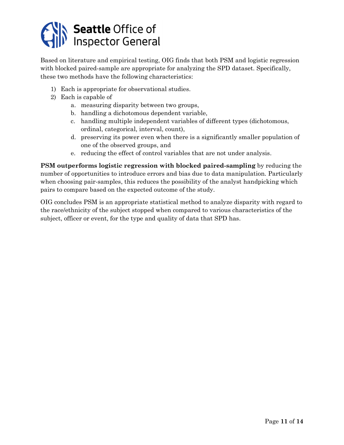

Based on literature and empirical testing, OIG finds that both PSM and logistic regression with blocked paired-sample are appropriate for analyzing the SPD dataset. Specifically, these two methods have the following characteristics:

- 1) Each is appropriate for observational studies.
- 2) Each is capable of
	- a. measuring disparity between two groups,
	- b. handling a dichotomous dependent variable,
	- c. handling multiple independent variables of different types (dichotomous, ordinal, categorical, interval, count),
	- d. preserving its power even when there is a significantly smaller population of one of the observed groups, and
	- e. reducing the effect of control variables that are not under analysis.

**PSM outperforms logistic regression with blocked paired-sampling** by reducing the number of opportunities to introduce errors and bias due to data manipulation. Particularly when choosing pair-samples, this reduces the possibility of the analyst handpicking which pairs to compare based on the expected outcome of the study.

OIG concludes PSM is an appropriate statistical method to analyze disparity with regard to the race/ethnicity of the subject stopped when compared to various characteristics of the subject, officer or event, for the type and quality of data that SPD has.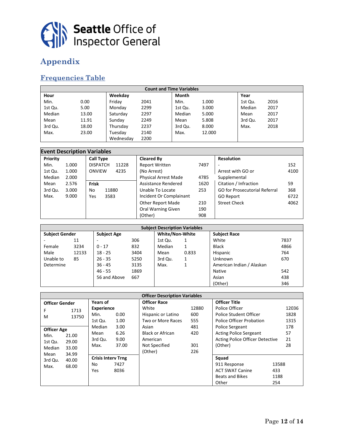

## **Appendix**

## **Frequencies Table**

| <b>Count and Time Variables</b> |       |           |      |         |        |         |      |  |  |  |
|---------------------------------|-------|-----------|------|---------|--------|---------|------|--|--|--|
| Hour                            |       | Weekday   |      | Month   |        | Year    |      |  |  |  |
| Min.                            | 0.00  | Fridav    | 2041 | Min.    | 1.000  | 1st Qu. | 2016 |  |  |  |
| 1st Qu.                         | 5.00  | Monday    | 2299 | 1st Qu. | 3.000  | Median  | 2017 |  |  |  |
| Median                          | 13.00 | Saturday  | 2297 | Median  | 5.000  | Mean    | 2017 |  |  |  |
| Mean                            | 11.91 | Sundav    | 2249 | Mean    | 5.808  | 3rd Qu. | 2017 |  |  |  |
| 3rd Qu.                         | 18.00 | Thursday  | 2237 | 3rd Qu. | 8.000  | Max.    | 2018 |  |  |  |
| Max.                            | 23.00 | Tuesday   | 2140 | Max.    | 12.000 |         |      |  |  |  |
|                                 |       | Wednesday | 2200 |         |        |         |      |  |  |  |

|          | <b>Event Description Variables</b> |                          |                             |      |                                      |      |  |  |  |  |  |
|----------|------------------------------------|--------------------------|-----------------------------|------|--------------------------------------|------|--|--|--|--|--|
| Priority |                                    | <b>Call Type</b>         | <b>Cleared By</b>           |      | <b>Resolution</b>                    |      |  |  |  |  |  |
| Min.     | 1.000                              | <b>DISPATCH</b><br>11228 | <b>Report Written</b>       | 7497 |                                      | 152  |  |  |  |  |  |
| 1st Qu.  | 1.000                              | ONVIEW<br>4235           | (No Arrest)                 |      | Arrest with GO or                    | 4100 |  |  |  |  |  |
| Median   | 2.000                              |                          | <b>Physical Arrest Made</b> | 4785 | Supplemental                         |      |  |  |  |  |  |
| Mean     | 2.576                              | Frisk                    | Assistance Rendered         | 1620 | Citation / Infraction                | 59   |  |  |  |  |  |
| 3rd Qu.  | 3.000                              | 11880<br>No              | Unable To Locate            | 253  | <b>GO for Prosecutorial Referral</b> | 368  |  |  |  |  |  |
| Max.     | 9.000                              | 3583<br>Yes              | Incident Or Complainant     |      | GO Report                            | 6722 |  |  |  |  |  |
|          |                                    |                          | <b>Other Report Made</b>    | 210  | <b>Street Check</b>                  | 4062 |  |  |  |  |  |
|          |                                    |                          | <b>Oral Warning Given</b>   | 190  |                                      |      |  |  |  |  |  |
|          |                                    |                          | (Other)                     | 908  |                                      |      |  |  |  |  |  |

| <b>Subject Description Variables</b> |       |                    |      |         |                        |                           |      |  |
|--------------------------------------|-------|--------------------|------|---------|------------------------|---------------------------|------|--|
| <b>Subject Gender</b>                |       | <b>Subject Age</b> |      |         | <b>White/Non-White</b> | <b>Subject Race</b>       |      |  |
|                                      | 11    |                    | 306  | 1st Qu. |                        | White                     | 7837 |  |
| Female                               | 3234  | $0 - 17$           | 832  | Median  |                        | <b>Black</b>              | 4866 |  |
| Male                                 | 12133 | $18 - 25$          | 3404 | Mean    | 0.833                  | Hispanic                  | 764  |  |
| Unable to                            | 85    | $26 - 35$          | 5250 | 3rd Qu. |                        | Unknown                   | 670  |  |
| Determine                            |       | $36 - 45$          | 3135 | Max.    |                        | American Indian / Alaskan |      |  |
|                                      |       | $46 - 55$          | 1869 |         |                        | Native                    | 542  |  |
|                                      |       | 56 and Above       | 667  |         |                        | Asian                     | 438  |  |
|                                      |       |                    |      |         |                        | (Other)                   | 346  |  |

|                                      | <b>Officer Description Variables</b> |                           |       |                         |                      |                                 |       |       |  |
|--------------------------------------|--------------------------------------|---------------------------|-------|-------------------------|----------------------|---------------------------------|-------|-------|--|
| Years of<br><b>Officer Gender</b>    |                                      | <b>Officer Race</b>       |       |                         | <b>Officer Title</b> |                                 |       |       |  |
| F                                    | 1713                                 | <b>Experience</b>         |       | White                   | 12880                | Police Officer                  |       | 12036 |  |
| M                                    | 13750                                | Min.                      | 0.00  | Hispanic or Latino      | 600                  | <b>Police Student Officer</b>   |       | 1828  |  |
|                                      |                                      | 1st Qu.                   | 1.00  | Two or More Races       | 555                  | <b>Police Officer Probation</b> |       | 1315  |  |
| 3.00<br>Median<br><b>Officer Age</b> |                                      |                           | Asian | 481                     | Police Sergeant      |                                 | 178   |       |  |
| Min.                                 | 21.00                                | Mean                      | 6.26  | <b>Black or African</b> | 420                  | <b>Acting Police Sergeant</b>   |       | 57    |  |
| 1st Qu.                              | 29.00                                | 3rd Qu.                   | 9.00  | American                |                      | Acting Police Officer Detective |       | 21    |  |
| Median                               | 33.00                                | Max.                      | 37.00 | Not Specified           | 301                  | (Other)                         |       | 28    |  |
| Mean                                 | 34.99                                |                           |       | (Other)                 | 226                  |                                 |       |       |  |
| 3rd Qu.<br>40.00                     |                                      | <b>Crisis Interv Trng</b> |       |                         |                      | Squad                           |       |       |  |
| Max.                                 | 68.00                                | No                        | 7427  |                         |                      | 911 Response                    | 13588 |       |  |
|                                      |                                      | Yes                       | 8036  |                         |                      | <b>ACT SWAT Canine</b>          | 433   |       |  |
|                                      |                                      |                           |       |                         |                      | <b>Beats and Bikes</b>          | 1188  |       |  |
|                                      |                                      |                           |       |                         |                      | Other                           | 254   |       |  |